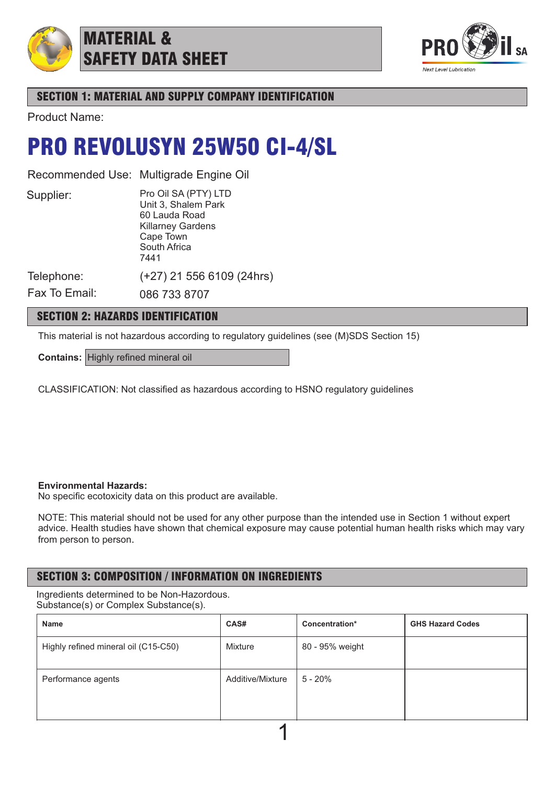

## MATERIAL & SAFETY DATA SHEET



## SECTION 1: MATERIAL AND SUPPLY COMPANY IDENTIFICATION

Product Name:

## PRO REVOLUSYN 25W50 CI-4/SL

Recommended Use: Multigrade Engine Oil

Supplier:

Pro Oil SA (PTY) LTD Unit 3, Shalem Park 60 Lauda Road Killarney Gardens Cape Town South Africa 7441

(+27) 21 556 6109 (24hrs)

Telephone:

Fax To Email: 086 733 8707

## SECTION 2: HAZARDS IDENTIFICATION

This material is not hazardous according to regulatory guidelines (see (M)SDS Section 15)

**Contains:** Highly refined mineral oil

CLASSIFICATION: Not classified as hazardous according to HSNO regulatory guidelines

### **Environmental Hazards:**

No specific ecotoxicity data on this product are available.

NOTE: This material should not be used for any other purpose than the intended use in Section 1 without expert advice. Health studies have shown that chemical exposure may cause potential human health risks which may vary from person to person.

## SECTION 3: COMPOSITION / INFORMATION ON INGREDIENTS

Ingredients determined to be Non-Hazordous. Substance(s) or Complex Substance(s).

| Name                                 | CAS#             | Concentration*  | <b>GHS Hazard Codes</b> |  |  |  |
|--------------------------------------|------------------|-----------------|-------------------------|--|--|--|
| Highly refined mineral oil (C15-C50) | Mixture          | 80 - 95% weight |                         |  |  |  |
| Performance agents                   | Additive/Mixture | 5 - 20%         |                         |  |  |  |
|                                      |                  |                 |                         |  |  |  |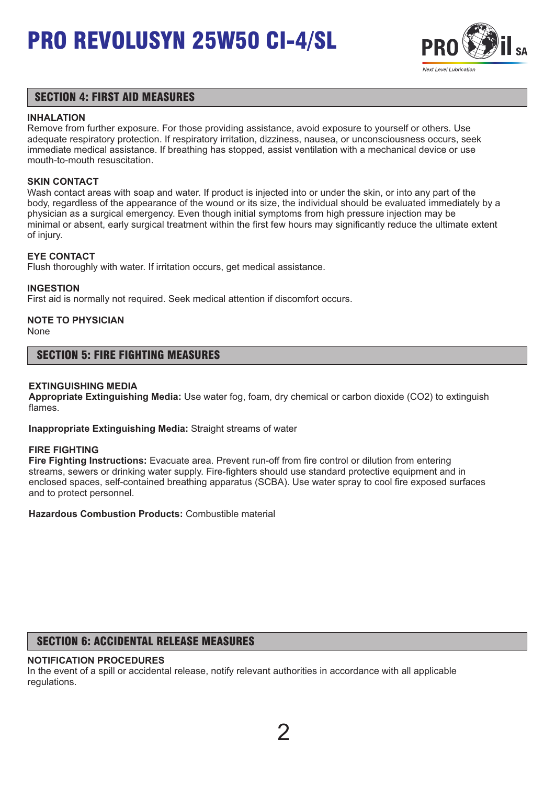

### SECTION 4: FIRST AID MEASURES

### **INHALATION**

Remove from further exposure. For those providing assistance, avoid exposure to yourself or others. Use adequate respiratory protection. If respiratory irritation, dizziness, nausea, or unconsciousness occurs, seek immediate medical assistance. If breathing has stopped, assist ventilation with a mechanical device or use mouth-to-mouth resuscitation.

### **SKIN CONTACT**

Wash contact areas with soap and water. If product is injected into or under the skin, or into any part of the body, regardless of the appearance of the wound or its size, the individual should be evaluated immediately by a physician as a surgical emergency. Even though initial symptoms from high pressure injection may be minimal or absent, early surgical treatment within the first few hours may significantly reduce the ultimate extent of injury.

### **EYE CONTACT**

Flush thoroughly with water. If irritation occurs, get medical assistance.

### **INGESTION**

First aid is normally not required. Seek medical attention if discomfort occurs.

## **NOTE TO PHYSICIAN**

None

### SECTION 5: FIRE FIGHTING MEASURES

### **EXTINGUISHING MEDIA**

**Appropriate Extinguishing Media:** Use water fog, foam, dry chemical or carbon dioxide (CO2) to extinguish flames.

**Inappropriate Extinguishing Media:** Straight streams of water

### **FIRE FIGHTING**

**Fire Fighting Instructions:** Evacuate area. Prevent run-off from fire control or dilution from entering streams, sewers or drinking water supply. Fire-fighters should use standard protective equipment and in enclosed spaces, self-contained breathing apparatus (SCBA). Use water spray to cool fire exposed surfaces and to protect personnel.

**Hazardous Combustion Products:** Combustible material

## SECTION 6: ACCIDENTAL RELEASE MEASURES

### **NOTIFICATION PROCEDURES**

In the event of a spill or accidental release, notify relevant authorities in accordance with all applicable regulations.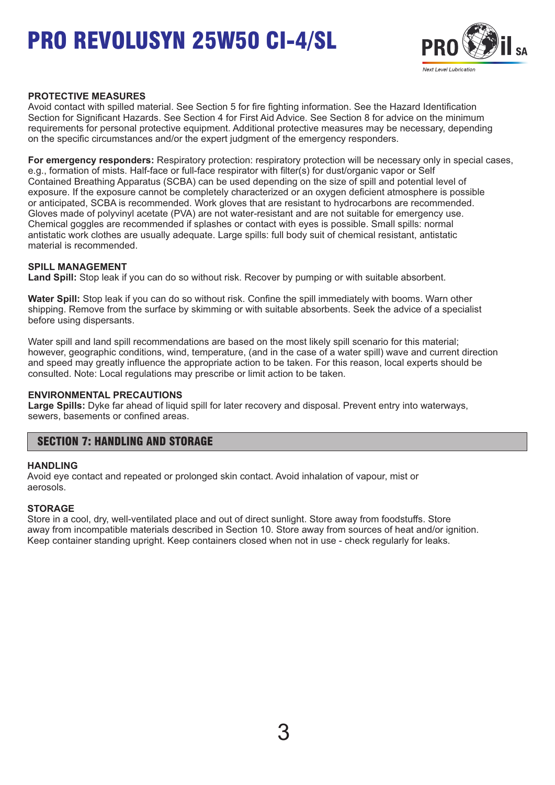

### **PROTECTIVE MEASURES**

Avoid contact with spilled material. See Section 5 for fire fighting information. See the Hazard Identification Section for Significant Hazards. See Section 4 for First Aid Advice. See Section 8 for advice on the minimum requirements for personal protective equipment. Additional protective measures may be necessary, depending on the specific circumstances and/or the expert judgment of the emergency responders.

**For emergency responders:** Respiratory protection: respiratory protection will be necessary only in special cases, e.g., formation of mists. Half-face or full-face respirator with filter(s) for dust/organic vapor or Self Contained Breathing Apparatus (SCBA) can be used depending on the size of spill and potential level of exposure. If the exposure cannot be completely characterized or an oxygen deficient atmosphere is possible or anticipated, SCBA is recommended. Work gloves that are resistant to hydrocarbons are recommended. Gloves made of polyvinyl acetate (PVA) are not water-resistant and are not suitable for emergency use. Chemical goggles are recommended if splashes or contact with eyes is possible. Small spills: normal antistatic work clothes are usually adequate. Large spills: full body suit of chemical resistant, antistatic material is recommended.

### **SPILL MANAGEMENT**

**Land Spill:** Stop leak if you can do so without risk. Recover by pumping or with suitable absorbent.

**Water Spill:** Stop leak if you can do so without risk. Confine the spill immediately with booms. Warn other shipping. Remove from the surface by skimming or with suitable absorbents. Seek the advice of a specialist before using dispersants.

Water spill and land spill recommendations are based on the most likely spill scenario for this material; however, geographic conditions, wind, temperature, (and in the case of a water spill) wave and current direction and speed may greatly influence the appropriate action to be taken. For this reason, local experts should be consulted. Note: Local regulations may prescribe or limit action to be taken.

#### **ENVIRONMENTAL PRECAUTIONS**

**Large Spills:** Dyke far ahead of liquid spill for later recovery and disposal. Prevent entry into waterways, sewers, basements or confined areas.

### SECTION 7: HANDLING AND STORAGE

#### **HANDLING**

Avoid eye contact and repeated or prolonged skin contact. Avoid inhalation of vapour, mist or aerosols.

### **STORAGE**

Store in a cool, dry, well-ventilated place and out of direct sunlight. Store away from foodstuffs. Store away from incompatible materials described in Section 10. Store away from sources of heat and/or ignition. Keep container standing upright. Keep containers closed when not in use - check regularly for leaks.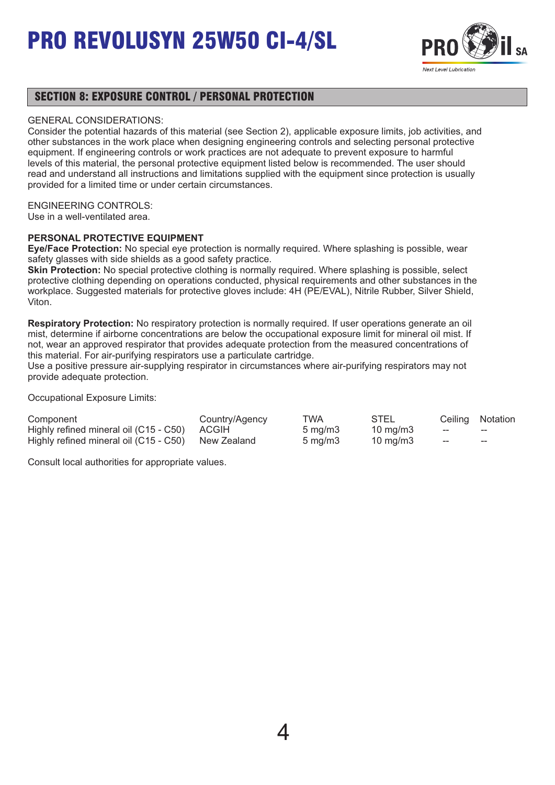

### SECTION 8: EXPOSURE CONTROL / PERSONAL PROTECTION

#### GENERAL CONSIDERATIONS:

Consider the potential hazards of this material (see Section 2), applicable exposure limits, job activities, and other substances in the work place when designing engineering controls and selecting personal protective equipment. If engineering controls or work practices are not adequate to prevent exposure to harmful levels of this material, the personal protective equipment listed below is recommended. The user should read and understand all instructions and limitations supplied with the equipment since protection is usually provided for a limited time or under certain circumstances.

### ENGINEERING CONTROLS:

Use in a well-ventilated area.

### **PERSONAL PROTECTIVE EQUIPMENT**

**Eye/Face Protection:** No special eye protection is normally required. Where splashing is possible, wear safety glasses with side shields as a good safety practice.

**Skin Protection:** No special protective clothing is normally required. Where splashing is possible, select protective clothing depending on operations conducted, physical requirements and other substances in the workplace. Suggested materials for protective gloves include: 4H (PE/EVAL), Nitrile Rubber, Silver Shield, Viton.

**Respiratory Protection:** No respiratory protection is normally required. If user operations generate an oil mist, determine if airborne concentrations are below the occupational exposure limit for mineral oil mist. If not, wear an approved respirator that provides adequate protection from the measured concentrations of this material. For air-purifying respirators use a particulate cartridge.

Use a positive pressure air-supplying respirator in circumstances where air-purifying respirators may not provide adequate protection.

Occupational Exposure Limits:

| Component                                          | Country/Agency | TWA                 | STEL              |     | Ceiling Notation |
|----------------------------------------------------|----------------|---------------------|-------------------|-----|------------------|
| Highly refined mineral oil (C15 - C50) ACGIH       |                | $5 \,\mathrm{mq/m}$ | $10 \text{ mg/m}$ | $-$ | $- -$            |
| Highly refined mineral oil (C15 - C50) New Zealand |                | $5 \text{ ma/m}$ 3  | 10 mg/m3          | ——  | $- -$            |

Consult local authorities for appropriate values.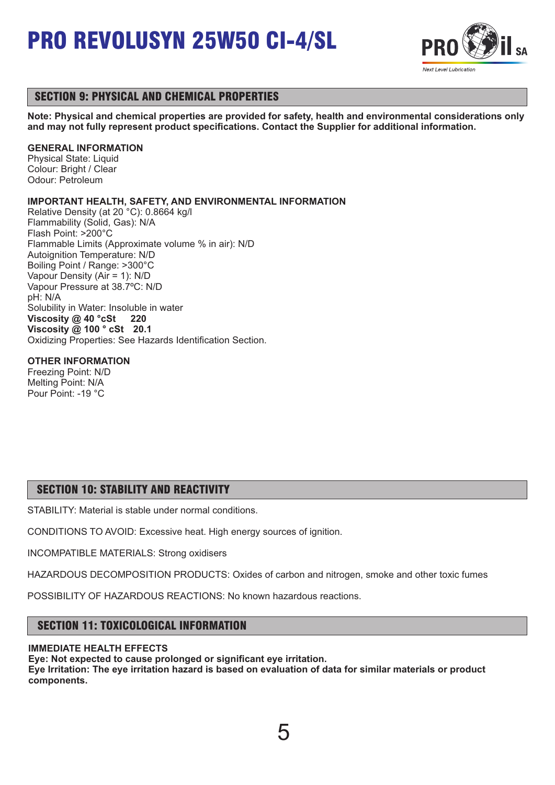

## SECTION 9: PHYSICAL AND CHEMICAL PROPERTIES

**Note: Physical and chemical properties are provided for safety, health and environmental considerations only and may not fully represent product specifications. Contact the Supplier for additional information.**

### **GENERAL INFORMATION**

Physical State: Liquid Colour: Bright / Clear Odour: Petroleum

### **IMPORTANT HEALTH, SAFETY, AND ENVIRONMENTAL INFORMATION**

Relative Density (at 20 °C): 0.8664 kg/l Flammability (Solid, Gas): N/A Flash Point: >200°C Flammable Limits (Approximate volume % in air): N/D Autoignition Temperature: N/D Boiling Point / Range: >300°C Vapour Density (Air = 1): N/D Vapour Pressure at 38.7ºC: N/D pH: N/A Solubility in Water: Insoluble in water **Viscosity @ 40 °cSt 220 Viscosity @ 100 ° cSt 20.1** Oxidizing Properties: See Hazards Identification Section.

### **OTHER INFORMATION**

Freezing Point: N/D Melting Point: N/A Pour Point: -19 °C

## SECTION 10: STABILITY AND REACTIVITY

STABILITY: Material is stable under normal conditions.

CONDITIONS TO AVOID: Excessive heat. High energy sources of ignition.

INCOMPATIBLE MATERIALS: Strong oxidisers

HAZARDOUS DECOMPOSITION PRODUCTS: Oxides of carbon and nitrogen, smoke and other toxic fumes

POSSIBILITY OF HAZARDOUS REACTIONS: No known hazardous reactions.

## SECTION 11: TOXICOLOGICAL INFORMATION

### **IMMEDIATE HEALTH EFFECTS**

**Eye: Not expected to cause prolonged or significant eye irritation. Eye Irritation: The eye irritation hazard is based on evaluation of data for similar materials or product components.** 

5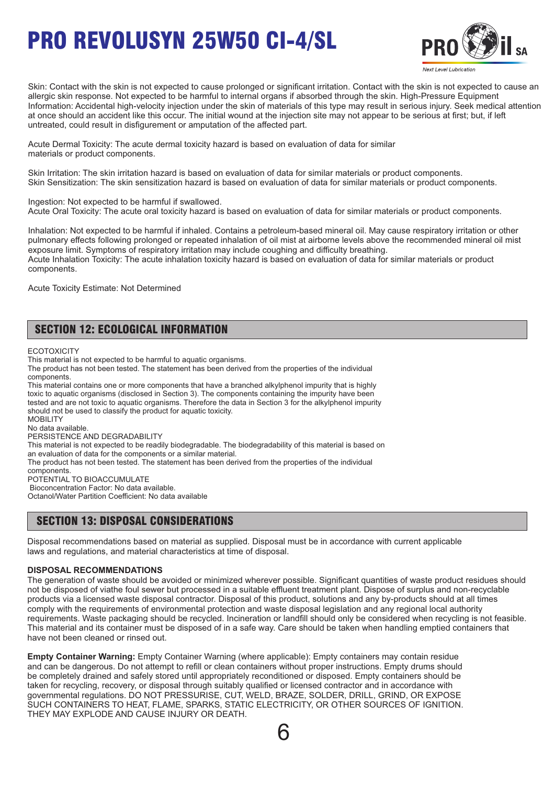

Skin: Contact with the skin is not expected to cause prolonged or significant irritation. Contact with the skin is not expected to cause an allergic skin response. Not expected to be harmful to internal organs if absorbed through the skin. High-Pressure Equipment Information: Accidental high-velocity injection under the skin of materials of this type may result in serious injury. Seek medical attention at once should an accident like this occur. The initial wound at the injection site may not appear to be serious at first; but, if left untreated, could result in disfigurement or amputation of the affected part.

Acute Dermal Toxicity: The acute dermal toxicity hazard is based on evaluation of data for similar materials or product components.

Skin Irritation: The skin irritation hazard is based on evaluation of data for similar materials or product components. Skin Sensitization: The skin sensitization hazard is based on evaluation of data for similar materials or product components.

Ingestion: Not expected to be harmful if swallowed. Acute Oral Toxicity: The acute oral toxicity hazard is based on evaluation of data for similar materials or product components.

Inhalation: Not expected to be harmful if inhaled. Contains a petroleum-based mineral oil. May cause respiratory irritation or other pulmonary effects following prolonged or repeated inhalation of oil mist at airborne levels above the recommended mineral oil mist exposure limit. Symptoms of respiratory irritation may include coughing and difficulty breathing. Acute Inhalation Toxicity: The acute inhalation toxicity hazard is based on evaluation of data for similar materials or product components.

Acute Toxicity Estimate: Not Determined

## SECTION 12: ECOLOGICAL INFORMATION

**ECOTOXICITY** 

This material is not expected to be harmful to aquatic organisms.

The product has not been tested. The statement has been derived from the properties of the individual components.

This material contains one or more components that have a branched alkylphenol impurity that is highly toxic to aquatic organisms (disclosed in Section 3). The components containing the impurity have been tested and are not toxic to aquatic organisms. Therefore the data in Section 3 for the alkylphenol impurity should not be used to classify the product for aquatic toxicity. **MOBILITY** No data available. PERSISTENCE AND DEGRADABILITY This material is not expected to be readily biodegradable. The biodegradability of this material is based on

an evaluation of data for the components or a similar material.

The product has not been tested. The statement has been derived from the properties of the individual

components.

POTENTIAL TO BIOACCUMULATE Bioconcentration Factor: No data available.

Octanol/Water Partition Coefficient: No data available

### SECTION 13: DISPOSAL CONSIDERATIONS

Disposal recommendations based on material as supplied. Disposal must be in accordance with current applicable laws and regulations, and material characteristics at time of disposal.

#### **DISPOSAL RECOMMENDATIONS**

The generation of waste should be avoided or minimized wherever possible. Significant quantities of waste product residues should not be disposed of viathe foul sewer but processed in a suitable effluent treatment plant. Dispose of surplus and non-recyclable products via a licensed waste disposal contractor. Disposal of this product, solutions and any by-products should at all times comply with the requirements of environmental protection and waste disposal legislation and any regional local authority requirements. Waste packaging should be recycled. Incineration or landfill should only be considered when recycling is not feasible. This material and its container must be disposed of in a safe way. Care should be taken when handling emptied containers that have not been cleaned or rinsed out.

**Empty Container Warning:** Empty Container Warning (where applicable): Empty containers may contain residue and can be dangerous. Do not attempt to refill or clean containers without proper instructions. Empty drums should be completely drained and safely stored until appropriately reconditioned or disposed. Empty containers should be taken for recycling, recovery, or disposal through suitably qualified or licensed contractor and in accordance with governmental regulations. DO NOT PRESSURISE, CUT, WELD, BRAZE, SOLDER, DRILL, GRIND, OR EXPOSE SUCH CONTAINERS TO HEAT, FLAME, SPARKS, STATIC ELECTRICITY, OR OTHER SOURCES OF IGNITION. THEY MAY EXPLODE AND CAUSE INJURY OR DEATH.